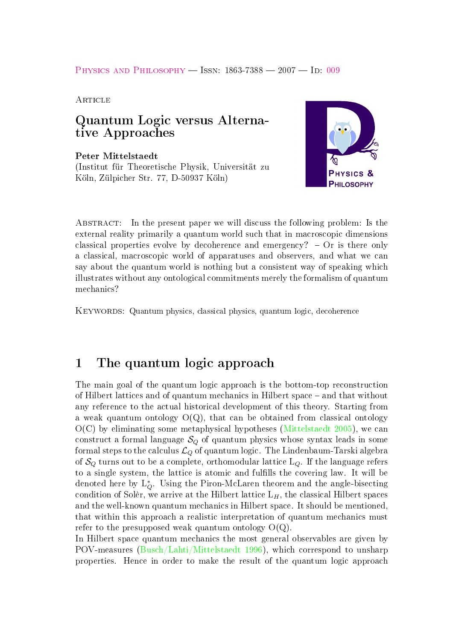#### <span id="page-0-0"></span>PHYSICS AND PHILOSOPHY - ISSN: 1863-7388 - 2007 - ID: [009](https://eldorado.uni-dortmund.de/handle/2003/22198)

**ARTICLE** 

### Quantum Logic versus Alternative Approaches

Peter Mittelstaedt (Institut für Theoretische Physik, Universität zu Köln, Zülpicher Str. 77, D-50937 Köln)



Abstract: In the present paper we will discuss the following problem: Is the external reality primarily a quantum world such that in macroscopic dimensions classical properties evolve by decoherence and emergency?  $-$  Or is there only a classical, macroscopic world of apparatuses and observers, and what we can say about the quantum world is nothing but a consistent way of speaking which illustrates without any ontological commitments merely the formalism of quantum mechanics?

KEYWORDS: Quantum physics, classical physics, quantum logic, decoherence

### 1 The quantum logic approach

The main goal of the quantum logic approach is the bottom-top reconstruction of Hilbert lattices and of quantum mechanics in Hilbert space and that without any reference to the actual historical development of this theory. Starting from a weak quantum ontology  $O(Q)$ , that can be obtained from classical ontology  $O(C)$  by eliminating some metaphysical hypotheses [\(Mittelstaedt 2005\)](#page-5-0), we can construct a formal language  $S_Q$  of quantum physics whose syntax leads in some formal steps to the calculus  $\mathcal{L}_Q$  of quantum logic. The Lindenbaum-Tarski algebra of  $S_Q$  turns out to be a complete, orthomodular lattice  $L_Q$ . If the language refers to a single system, the lattice is atomic and fulfills the covering law. It will be denoted here by L<sup>∗</sup> <sup>Q</sup>. Using the Piron-McLaren theorem and the angle-bisecting condition of Solèr, we arrive at the Hilbert lattice  $L_H$ , the classical Hilbert spaces and the well-known quantum mechanics in Hilbert space. It should be mentioned, that within this approach a realistic interpretation of quantum mechanics must refer to the presupposed weak quantum ontology  $O(Q)$ .

In Hilbert space quantum mechanics the most general observables are given by POV-measures [\(Busch/Lahti/Mittelstaedt 1996\)](#page-4-0), which correspond to unsharp properties. Hence in order to make the result of the quantum logic approach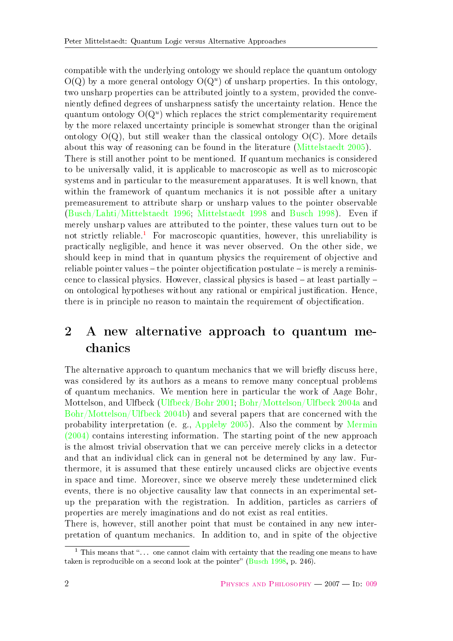<span id="page-1-1"></span>compatible with the underlying ontology we should replace the quantum ontology  $O(Q)$  by a more general ontology  $O(Q^u)$  of unsharp properties. In this ontology, two unsharp properties can be attributed jointly to a system, provided the conveniently defined degrees of unsharpness satisfy the uncertainty relation. Hence the quantum ontology  $O(Q^u)$  which replaces the strict complementarity requirement by the more relaxed uncertainty principle is somewhat stronger than the original ontology  $O(Q)$ , but still weaker than the classical ontology  $O(C)$ . More details about this way of reasoning can be found in the literature [\(Mittelstaedt 2005\)](#page-5-0). There is still another point to be mentioned. If quantum mechanics is considered to be universally valid, it is applicable to macroscopic as well as to microscopic systems and in particular to the measurement apparatuses. It is well known, that within the framework of quantum mechanics it is not possible after a unitary premeasurement to attribute sharp or unsharp values to the pointer observable [\(Busch/Lahti/Mittelstaedt 1996;](#page-4-0) [Mittelstaedt 1998](#page-5-1) and [Busch 1998\)](#page-4-1). Even if merely unsharp values are attributed to the pointer, these values turn out to be not strictly reliable.<sup>[1](#page-1-0)</sup> For macroscopic quantities, however, this unreliability is practically negligible, and hence it was never observed. On the other side, we should keep in mind that in quantum physics the requirement of objective and reliable pointer values  $-$  the pointer objectification postulate  $-$  is merely a reminiscence to classical physics. However, classical physics is based  $-$  at least partially  $$ on ontological hypotheses without any rational or empirical justification. Hence, there is in principle no reason to maintain the requirement of objectification.

# 2 A new alternative approach to quantum mechanics

The alternative approach to quantum mechanics that we will briefly discuss here, was considered by its authors as a means to remove many conceptual problems of quantum mechanics. We mention here in particular the work of Aage Bohr, Mottelson, and Ulfbeck [\(Ulfbeck/Bohr 2001;](#page-5-2) [Bohr/Mottelson/Ulfbeck 2004a](#page-4-2) and [Bohr/Mottelson/Ulfbeck 2004b\)](#page-4-3) and several papers that are concerned with the probability interpretation (e. g., [Appleby 2005\)](#page-4-4). Also the comment by [Mermin](#page-5-3) [\(2004\)](#page-5-3) contains interesting information. The starting point of the new approach is the almost trivial observation that we can perceive merely clicks in a detector and that an individual click can in general not be determined by any law. Furthermore, it is assumed that these entirely uncaused clicks are objective events in space and time. Moreover, since we observe merely these undetermined click events, there is no objective causality law that connects in an experimental setup the preparation with the registration. In addition, particles as carriers of properties are merely imaginations and do not exist as real entities.

There is, however, still another point that must be contained in any new interpretation of quantum mechanics. In addition to, and in spite of the objective

<span id="page-1-0"></span><sup>&</sup>lt;sup>1</sup> This means that " $\ldots$  one cannot claim with certainty that the reading one means to have taken is reproducible on a second look at the pointer" [\(Busch 1998,](#page-4-1) p. 246).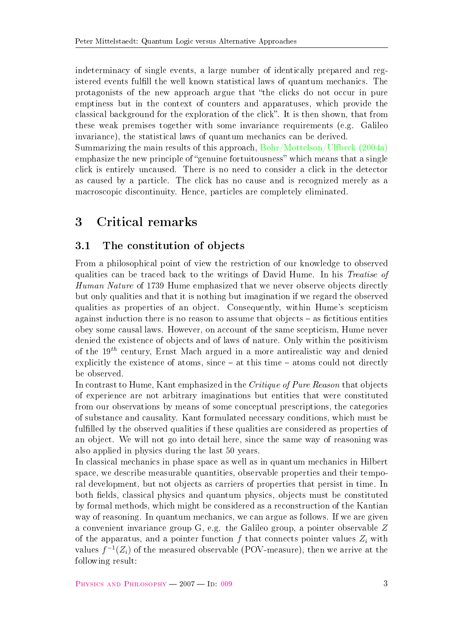<span id="page-2-0"></span>indeterminacy of single events, a large number of identically prepared and registered events fulfill the well known statistical laws of quantum mechanics. The protagonists of the new approach argue that "the clicks do not occur in pure emptiness but in the context of counters and apparatuses, which provide the classical background for the exploration of the click". It is then shown, that from these weak premises together with some invariance requirements (e.g. Galileo invariance), the statistical laws of quantum mechanics can be derived.

Summarizing the main results of this approach, [Bohr/Mottelson/Ulfbeck \(2004a\)](#page-4-2) emphasize the new principle of "genuine fortuitousness" which means that a single click is entirely uncaused. There is no need to consider a click in the detector as caused by a particle. The click has no cause and is recognized merely as a macroscopic discontinuity. Hence, particles are completely eliminated.

# 3 Critical remarks

### 3.1 The constitution of objects

From a philosophical point of view the restriction of our knowledge to observed qualities can be traced back to the writings of David Hume. In his Treatise of Human Nature of 1739 Hume emphasized that we never observe objects directly but only qualities and that it is nothing but imagination if we regard the observed qualities as properties of an object. Consequently, within Hume's scepticism against induction there is no reason to assume that objects  $-$  as fictitious entities obey some causal laws. However, on account of the same scepticism, Hume never denied the existence of objects and of laws of nature. Only within the positivism of the  $19^{th}$  century, Ernst Mach argued in a more antirealistic way and denied explicitly the existence of atoms, since  $-$  at this time  $-$  atoms could not directly be observed.

In contrast to Hume, Kant emphasized in the Critique of Pure Reason that objects of experience are not arbitrary imaginations but entities that were constituted from our observations by means of some conceptual prescriptions, the categories of substance and causality. Kant formulated necessary conditions, which must be fulfilled by the observed qualities if these qualities are considered as properties of an object. We will not go into detail here, since the same way of reasoning was also applied in physics during the last 50 years.

In classical mechanics in phase space as well as in quantum mechanics in Hilbert space, we describe measurable quantities, observable properties and their temporal development, but not objects as carriers of properties that persist in time. In both fields, classical physics and quantum physics, objects must be constituted by formal methods, which might be considered as a reconstruction of the Kantian way of reasoning. In quantum mechanics, we can argue as follows. If we are given a convenient invariance group G, e.g. the Galileo group, a pointer observable Z of the apparatus, and a pointer function f that connects pointer values  $Z_i$  with values  $f^{-1}(Z_i)$  of the measured observable (POV-measure), then we arrive at the following result: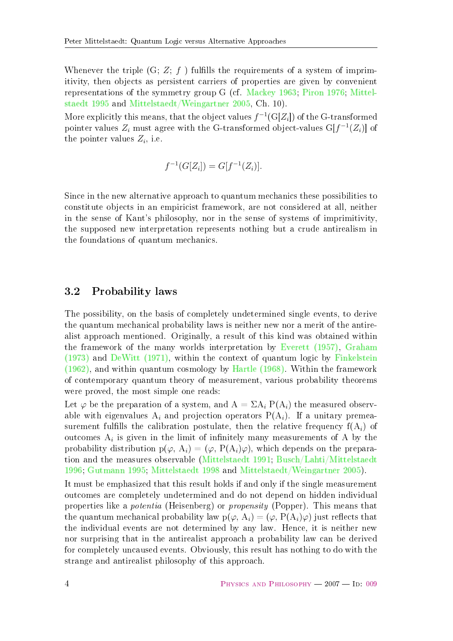<span id="page-3-0"></span>Whenever the triple  $(G; Z; f)$  fulfills the requirements of a system of imprimitivity, then objects as persistent carriers of properties are given by convenient representations of the symmetry group G (cf. [Mackey 1963;](#page-5-4) [Piron 1976;](#page-5-5) [Mittel](#page-5-6)[staedt 1995](#page-5-6) and [Mittelstaedt/Weingartner 2005,](#page-5-7) Ch. 10).

More explicitly this means, that the object values  $f^{-1}(G[Z_i])$  of the G-transformed pointer values  $Z_i$  must agree with the G-transformed object-values  $\text{G}[f^{-1}(Z_i)]$  of the pointer values  $Z_i$ , i.e.

$$
f^{-1}(G[Z_i]) = G[f^{-1}(Z_i)].
$$

Since in the new alternative approach to quantum mechanics these possibilities to constitute objects in an empiricist framework, are not considered at all, neither in the sense of Kant's philosophy, nor in the sense of systems of imprimitivity, the supposed new interpretation represents nothing but a crude antirealism in the foundations of quantum mechanics.

#### 3.2 Probability laws

The possibility, on the basis of completely undetermined single events, to derive the quantum mechanical probability laws is neither new nor a merit of the antirealist approach mentioned. Originally, a result of this kind was obtained within the framework of the many worlds interpretation by [Everett \(1957\),](#page-4-5) [Graham](#page-5-8)  $(1973)$  and DeWitt  $(1971)$ , within the context of quantum logic by [Finkelstein](#page-5-9) [\(1962\),](#page-5-9) and within quantum cosmology by [Hartle \(1968\).](#page-5-10) Within the framework of contemporary quantum theory of measurement, various probability theorems were proved, the most simple one reads:

Let  $\varphi$  be the preparation of a system, and  $A = \Sigma A_i P(A_i)$  the measured observable with eigenvalues  $A_i$  and projection operators  $P(A_i)$ . If a unitary premeasurement fulfills the calibration postulate, then the relative frequency  $f(A_i)$  of outcomes  $A_i$  is given in the limit of infinitely many measurements of A by the probability distribution  $p(\varphi, A_i) = (\varphi, P(A_i)\varphi)$ , which depends on the preparation and the measures observable [\(Mittelstaedt 1991;](#page-5-11) [Busch/Lahti/Mittelstaedt](#page-4-0) [1996;](#page-4-0) [Gutmann 1995;](#page-5-12) [Mittelstaedt 1998](#page-5-1) and [Mittelstaedt/Weingartner 2005\)](#page-5-7).

It must be emphasized that this result holds if and only if the single measurement outcomes are completely undetermined and do not depend on hidden individual properties like a potentia (Heisenberg) or propensity (Popper). This means that the quantum mechanical probability law  $p(\varphi, A_i) = (\varphi, P(A_i) \varphi)$  just reflects that the individual events are not determined by any law. Hence, it is neither new nor surprising that in the antirealist approach a probability law can be derived for completely uncaused events. Obviously, this result has nothing to do with the strange and antirealist philosophy of this approach.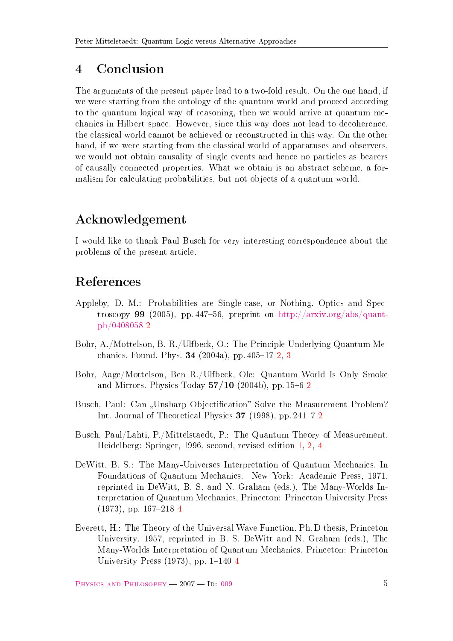## 4 Conclusion

The arguments of the present paper lead to a two-fold result. On the one hand, if we were starting from the ontology of the quantum world and proceed according to the quantum logical way of reasoning, then we would arrive at quantum mechanics in Hilbert space. However, since this way does not lead to decoherence, the classical world cannot be achieved or reconstructed in this way. On the other hand, if we were starting from the classical world of apparatuses and observers, we would not obtain causality of single events and hence no particles as bearers of causally connected properties. What we obtain is an abstract scheme, a formalism for calculating probabilities, but not objects of a quantum world.

# Acknowledgement

I would like to thank Paul Busch for very interesting correspondence about the problems of the present article.

## References

- <span id="page-4-4"></span>Appleby, D. M.: Probabilities are Single-case, or Nothing. Optics and Spectroscopy 99 (2005), pp. 447–56, preprint on  $\frac{\text{http://arxiv.org/abs/quant-}}{\text{http://arxiv.org/abs/quant-}}$ [ph/0408058](http://arxiv.org/abs/quant-ph/0408058) [2](#page-1-1)
- <span id="page-4-2"></span>Bohr, A./Mottelson, B. R./Ulfbeck, O.: The Principle Underlying Quantum Mechanics. Found. Phys.  $34$  $34$  (2004a), pp. 405–17 [2,](#page-1-1) 3
- <span id="page-4-3"></span>Bohr, Aage/Mottelson, Ben R./Ulfbeck, Ole: Quantum World Is Only Smoke and Mirrors. Physics Today  $57/10$  ([2](#page-1-1)004b), pp. 15–6 2
- <span id="page-4-1"></span>Busch, Paul: Can "Unsharp Objectification" Solve the Measurement Problem? Int. Journal of Theoretical Physics 37 (1998), pp. [2](#page-1-1)41–7 2
- <span id="page-4-0"></span>Busch, Paul/Lahti, P./Mittelstaedt, P.: The Quantum Theory of Measurement. Heidelberg: Springer, 1996, second, revised edition [1,](#page-0-0) [2,](#page-1-1) [4](#page-3-0)
- <span id="page-4-6"></span>DeWitt, B. S.: The Many-Universes Interpretation of Quantum Mechanics. In Foundations of Quantum Mechanics. New York: Academic Press, 1971, reprinted in DeWitt, B. S. and N. Graham (eds.), The Many-Worlds Interpretation of Quantum Mechanics, Princeton: Princeton University Press  $(1973)$ , pp. 167–218 [4](#page-3-0)
- <span id="page-4-5"></span>Everett, H.: The Theory of the Universal Wave Function. Ph. D thesis, Princeton University, 1957, reprinted in B. S. DeWitt and N. Graham (eds.), The Many-Worlds Interpretation of Quantum Mechanics, Princeton: Princeton University Press  $(1973)$ , pp. 1–1[4](#page-3-0)0 4